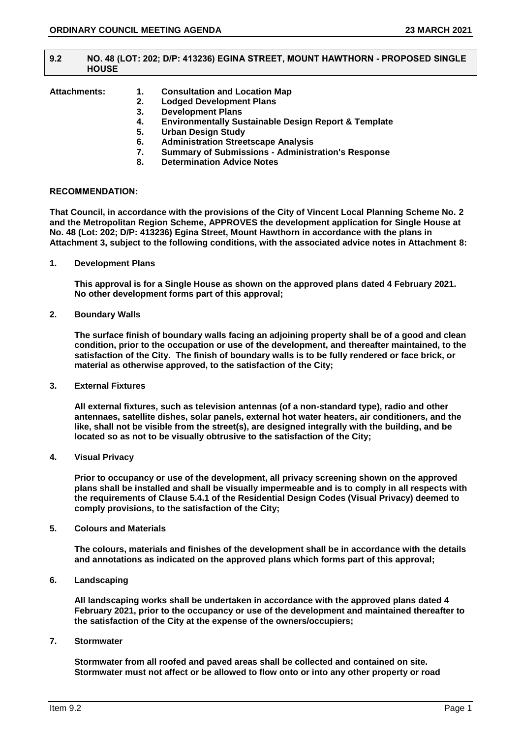#### **9.2 NO. 48 (LOT: 202; D/P: 413236) EGINA STREET, MOUNT HAWTHORN - PROPOSED SINGLE HOUSE**

# **Attachments: 1. Consultation and Location Map**

- **2. Lodged Development Plans**
- **3. Development Plans**
- **4. Environmentally Sustainable Design Report & Template**
- **5. Urban Design Study**
- **6. Administration Streetscape Analysis**
- **7. Summary of Submissions - Administration's Response**
- **8. Determination Advice Notes**

## **RECOMMENDATION:**

**That Council, in accordance with the provisions of the City of Vincent Local Planning Scheme No. 2 and the Metropolitan Region Scheme, APPROVES the development application for Single House at No. 48 (Lot: 202; D/P: 413236) Egina Street, Mount Hawthorn in accordance with the plans in Attachment 3, subject to the following conditions, with the associated advice notes in Attachment 8:**

**1. Development Plans**

**This approval is for a Single House as shown on the approved plans dated 4 February 2021. No other development forms part of this approval;**

**2. Boundary Walls**

**The surface finish of boundary walls facing an adjoining property shall be of a good and clean condition, prior to the occupation or use of the development, and thereafter maintained, to the satisfaction of the City. The finish of boundary walls is to be fully rendered or face brick, or material as otherwise approved, to the satisfaction of the City;**

**3. External Fixtures**

**All external fixtures, such as television antennas (of a non-standard type), radio and other antennaes, satellite dishes, solar panels, external hot water heaters, air conditioners, and the like, shall not be visible from the street(s), are designed integrally with the building, and be located so as not to be visually obtrusive to the satisfaction of the City;**

**4. Visual Privacy**

**Prior to occupancy or use of the development, all privacy screening shown on the approved plans shall be installed and shall be visually impermeable and is to comply in all respects with the requirements of Clause 5.4.1 of the Residential Design Codes (Visual Privacy) deemed to comply provisions, to the satisfaction of the City;**

**5. Colours and Materials**

**The colours, materials and finishes of the development shall be in accordance with the details and annotations as indicated on the approved plans which forms part of this approval;**

**6. Landscaping**

**All landscaping works shall be undertaken in accordance with the approved plans dated 4 February 2021, prior to the occupancy or use of the development and maintained thereafter to the satisfaction of the City at the expense of the owners/occupiers;**

**7. Stormwater**

**Stormwater from all roofed and paved areas shall be collected and contained on site. Stormwater must not affect or be allowed to flow onto or into any other property or road**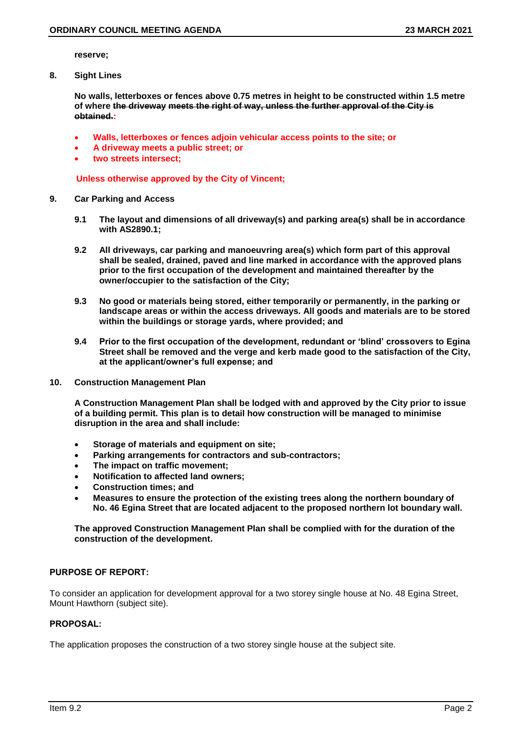**reserve;**

**8. Sight Lines**

**No walls, letterboxes or fences above 0.75 metres in height to be constructed within 1.5 metre of where the driveway meets the right of way, unless the further approval of the City is obtained.:**

- **Walls, letterboxes or fences adjoin vehicular access points to the site; or**
- **A driveway meets a public street; or**
- **two streets intersect;**

 **Unless otherwise approved by the City of Vincent;**

- **9. Car Parking and Access**
	- **9.1 The layout and dimensions of all driveway(s) and parking area(s) shall be in accordance with AS2890.1;**
	- **9.2 All driveways, car parking and manoeuvring area(s) which form part of this approval shall be sealed, drained, paved and line marked in accordance with the approved plans prior to the first occupation of the development and maintained thereafter by the owner/occupier to the satisfaction of the City;**
	- **9.3 No good or materials being stored, either temporarily or permanently, in the parking or landscape areas or within the access driveways. All goods and materials are to be stored within the buildings or storage yards, where provided; and**
	- **9.4 Prior to the first occupation of the development, redundant or 'blind' crossovers to Egina Street shall be removed and the verge and kerb made good to the satisfaction of the City, at the applicant/owner's full expense; and**
- **10. Construction Management Plan**

**A Construction Management Plan shall be lodged with and approved by the City prior to issue of a building permit. This plan is to detail how construction will be managed to minimise disruption in the area and shall include:**

- **Storage of materials and equipment on site;**
- **Parking arrangements for contractors and sub-contractors;**
- **The impact on traffic movement;**
- **Notification to affected land owners;**
- **Construction times; and**
- **Measures to ensure the protection of the existing trees along the northern boundary of No. 46 Egina Street that are located adjacent to the proposed northern lot boundary wall.**

**The approved Construction Management Plan shall be complied with for the duration of the construction of the development.**

# **PURPOSE OF REPORT:**

To consider an application for development approval for a two storey single house at No. 48 Egina Street, Mount Hawthorn (subject site).

# **PROPOSAL:**

The application proposes the construction of a two storey single house at the subject site.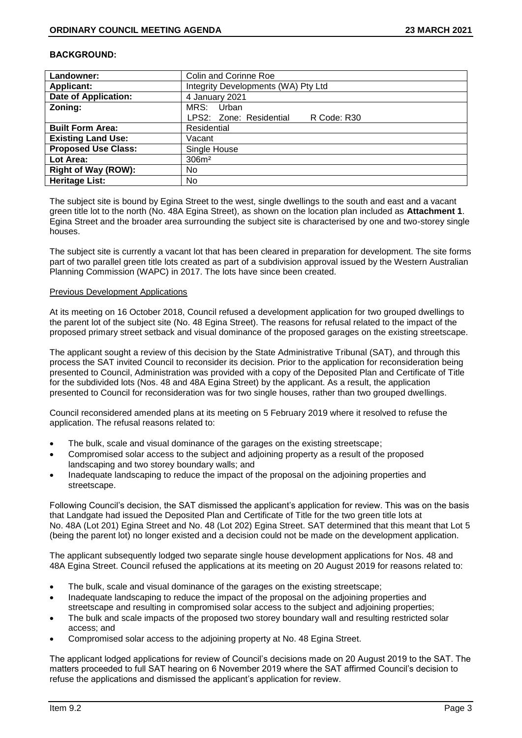## **BACKGROUND:**

| Landowner:                  | <b>Colin and Corinne Roe</b>           |  |
|-----------------------------|----------------------------------------|--|
| <b>Applicant:</b>           | Integrity Developments (WA) Pty Ltd    |  |
| <b>Date of Application:</b> | 4 January 2021                         |  |
| Zoning:                     | MRS: Urban                             |  |
|                             | LPS2: Zone: Residential<br>R Code: R30 |  |
| <b>Built Form Area:</b>     | Residential                            |  |
| <b>Existing Land Use:</b>   | Vacant                                 |  |
| <b>Proposed Use Class:</b>  | Single House                           |  |
| Lot Area:                   | 306m <sup>2</sup>                      |  |
| Right of Way (ROW):         | No.                                    |  |
| <b>Heritage List:</b>       | No.                                    |  |

The subject site is bound by Egina Street to the west, single dwellings to the south and east and a vacant green title lot to the north (No. 48A Egina Street), as shown on the location plan included as **Attachment 1**. Egina Street and the broader area surrounding the subject site is characterised by one and two-storey single houses.

The subject site is currently a vacant lot that has been cleared in preparation for development. The site forms part of two parallel green title lots created as part of a subdivision approval issued by the Western Australian Planning Commission (WAPC) in 2017. The lots have since been created.

## **Previous Development Applications**

At its meeting on 16 October 2018, Council refused a development application for two grouped dwellings to the parent lot of the subject site (No. 48 Egina Street). The reasons for refusal related to the impact of the proposed primary street setback and visual dominance of the proposed garages on the existing streetscape.

The applicant sought a review of this decision by the State Administrative Tribunal (SAT), and through this process the SAT invited Council to reconsider its decision. Prior to the application for reconsideration being presented to Council, Administration was provided with a copy of the Deposited Plan and Certificate of Title for the subdivided lots (Nos. 48 and 48A Egina Street) by the applicant. As a result, the application presented to Council for reconsideration was for two single houses, rather than two grouped dwellings.

Council reconsidered amended plans at its meeting on 5 February 2019 where it resolved to refuse the application. The refusal reasons related to:

- The bulk, scale and visual dominance of the garages on the existing streetscape;
- Compromised solar access to the subject and adjoining property as a result of the proposed landscaping and two storey boundary walls; and
- Inadequate landscaping to reduce the impact of the proposal on the adjoining properties and streetscape.

Following Council's decision, the SAT dismissed the applicant's application for review. This was on the basis that Landgate had issued the Deposited Plan and Certificate of Title for the two green title lots at No. 48A (Lot 201) Egina Street and No. 48 (Lot 202) Egina Street. SAT determined that this meant that Lot 5 (being the parent lot) no longer existed and a decision could not be made on the development application.

The applicant subsequently lodged two separate single house development applications for Nos. 48 and 48A Egina Street. Council refused the applications at its meeting on 20 August 2019 for reasons related to:

- The bulk, scale and visual dominance of the garages on the existing streetscape;
- Inadequate landscaping to reduce the impact of the proposal on the adjoining properties and streetscape and resulting in compromised solar access to the subject and adjoining properties;
- The bulk and scale impacts of the proposed two storey boundary wall and resulting restricted solar access; and
- Compromised solar access to the adjoining property at No. 48 Egina Street.

The applicant lodged applications for review of Council's decisions made on 20 August 2019 to the SAT. The matters proceeded to full SAT hearing on 6 November 2019 where the SAT affirmed Council's decision to refuse the applications and dismissed the applicant's application for review.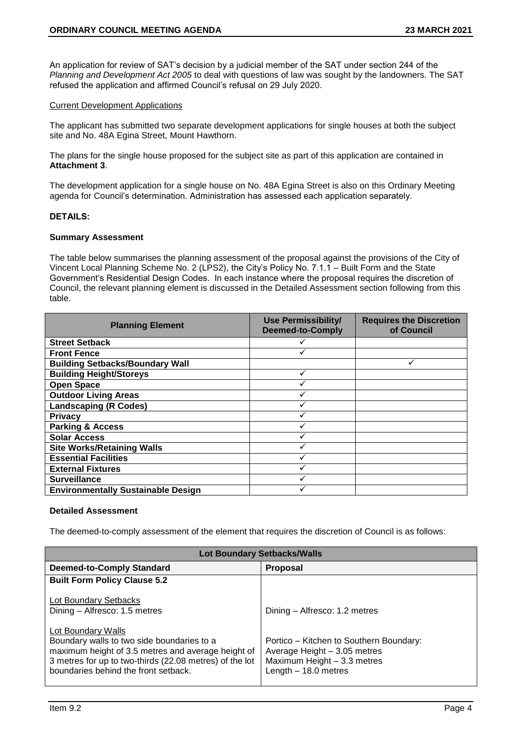An application for review of SAT's decision by a judicial member of the SAT under section 244 of the *Planning and Development Act 2005* to deal with questions of law was sought by the landowners. The SAT refused the application and affirmed Council's refusal on 29 July 2020.

## Current Development Applications

The applicant has submitted two separate development applications for single houses at both the subject site and No. 48A Egina Street, Mount Hawthorn.

The plans for the single house proposed for the subject site as part of this application are contained in **Attachment 3**.

The development application for a single house on No. 48A Egina Street is also on this Ordinary Meeting agenda for Council's determination. Administration has assessed each application separately.

## **DETAILS:**

## **Summary Assessment**

The table below summarises the planning assessment of the proposal against the provisions of the City of Vincent Local Planning Scheme No. 2 (LPS2), the City's Policy No. 7.1.1 – Built Form and the State Government's Residential Design Codes. In each instance where the proposal requires the discretion of Council, the relevant planning element is discussed in the Detailed Assessment section following from this table.

| <b>Planning Element</b>                   | <b>Use Permissibility/</b><br><b>Deemed-to-Comply</b> | <b>Requires the Discretion</b><br>of Council |
|-------------------------------------------|-------------------------------------------------------|----------------------------------------------|
| <b>Street Setback</b>                     |                                                       |                                              |
| <b>Front Fence</b>                        |                                                       |                                              |
| <b>Building Setbacks/Boundary Wall</b>    |                                                       |                                              |
| <b>Building Height/Storeys</b>            |                                                       |                                              |
| <b>Open Space</b>                         |                                                       |                                              |
| <b>Outdoor Living Areas</b>               |                                                       |                                              |
| <b>Landscaping (R Codes)</b>              |                                                       |                                              |
| <b>Privacy</b>                            |                                                       |                                              |
| <b>Parking &amp; Access</b>               |                                                       |                                              |
| <b>Solar Access</b>                       |                                                       |                                              |
| <b>Site Works/Retaining Walls</b>         |                                                       |                                              |
| <b>Essential Facilities</b>               |                                                       |                                              |
| <b>External Fixtures</b>                  |                                                       |                                              |
| <b>Surveillance</b>                       |                                                       |                                              |
| <b>Environmentally Sustainable Design</b> |                                                       |                                              |

# **Detailed Assessment**

The deemed-to-comply assessment of the element that requires the discretion of Council is as follows:

| <b>Lot Boundary Setbacks/Walls</b>                                                                                                                                                                                        |                                                                                                                                 |  |  |  |
|---------------------------------------------------------------------------------------------------------------------------------------------------------------------------------------------------------------------------|---------------------------------------------------------------------------------------------------------------------------------|--|--|--|
| <b>Deemed-to-Comply Standard</b>                                                                                                                                                                                          | <b>Proposal</b>                                                                                                                 |  |  |  |
| <b>Built Form Policy Clause 5.2</b>                                                                                                                                                                                       |                                                                                                                                 |  |  |  |
| <b>Lot Boundary Setbacks</b><br>Dining - Alfresco: 1.5 metres                                                                                                                                                             | Dining – Alfresco: 1.2 metres                                                                                                   |  |  |  |
| Lot Boundary Walls<br>Boundary walls to two side boundaries to a<br>maximum height of 3.5 metres and average height of<br>3 metres for up to two-thirds (22.08 metres) of the lot<br>boundaries behind the front setback. | Portico - Kitchen to Southern Boundary:<br>Average Height - 3.05 metres<br>Maximum Height - 3.3 metres<br>Length $-18.0$ metres |  |  |  |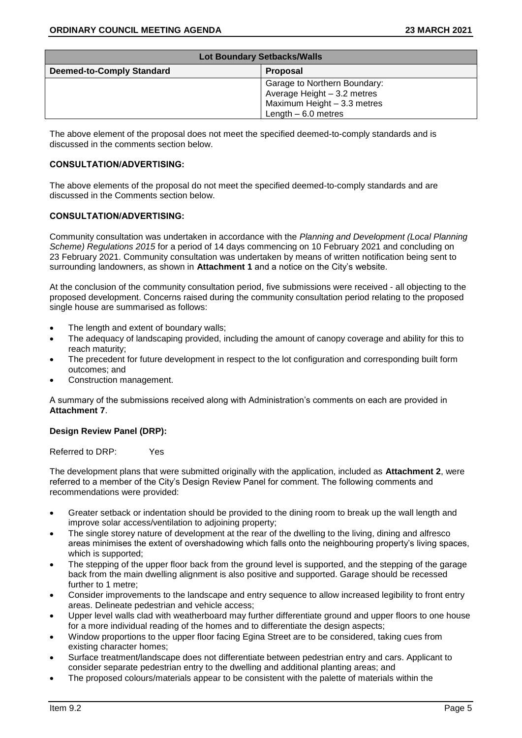| <b>Lot Boundary Setbacks/Walls</b> |                                                                                                                    |  |
|------------------------------------|--------------------------------------------------------------------------------------------------------------------|--|
| <b>Deemed-to-Comply Standard</b>   | <b>Proposal</b>                                                                                                    |  |
|                                    | Garage to Northern Boundary:<br>Average Height - 3.2 metres<br>Maximum Height - 3.3 metres<br>Length $-6.0$ metres |  |

The above element of the proposal does not meet the specified deemed-to-comply standards and is discussed in the comments section below.

## **CONSULTATION/ADVERTISING:**

The above elements of the proposal do not meet the specified deemed-to-comply standards and are discussed in the Comments section below.

# **CONSULTATION/ADVERTISING:**

Community consultation was undertaken in accordance with the *Planning and Development (Local Planning Scheme) Regulations 2015* for a period of 14 days commencing on 10 February 2021 and concluding on 23 February 2021. Community consultation was undertaken by means of written notification being sent to surrounding landowners, as shown in **Attachment 1** and a notice on the City's website.

At the conclusion of the community consultation period, five submissions were received - all objecting to the proposed development. Concerns raised during the community consultation period relating to the proposed single house are summarised as follows:

- The length and extent of boundary walls;
- The adequacy of landscaping provided, including the amount of canopy coverage and ability for this to reach maturity;
- The precedent for future development in respect to the lot configuration and corresponding built form outcomes; and
- Construction management.

A summary of the submissions received along with Administration's comments on each are provided in **Attachment 7**.

## **Design Review Panel (DRP):**

Referred to DRP: Yes

The development plans that were submitted originally with the application, included as **Attachment 2**, were referred to a member of the City's Design Review Panel for comment. The following comments and recommendations were provided:

- Greater setback or indentation should be provided to the dining room to break up the wall length and improve solar access/ventilation to adjoining property;
- The single storey nature of development at the rear of the dwelling to the living, dining and alfresco areas minimises the extent of overshadowing which falls onto the neighbouring property's living spaces, which is supported;
- The stepping of the upper floor back from the ground level is supported, and the stepping of the garage back from the main dwelling alignment is also positive and supported. Garage should be recessed further to 1 metre;
- Consider improvements to the landscape and entry sequence to allow increased legibility to front entry areas. Delineate pedestrian and vehicle access;
- Upper level walls clad with weatherboard may further differentiate ground and upper floors to one house for a more individual reading of the homes and to differentiate the design aspects;
- Window proportions to the upper floor facing Egina Street are to be considered, taking cues from existing character homes;
- Surface treatment/landscape does not differentiate between pedestrian entry and cars. Applicant to consider separate pedestrian entry to the dwelling and additional planting areas; and
- The proposed colours/materials appear to be consistent with the palette of materials within the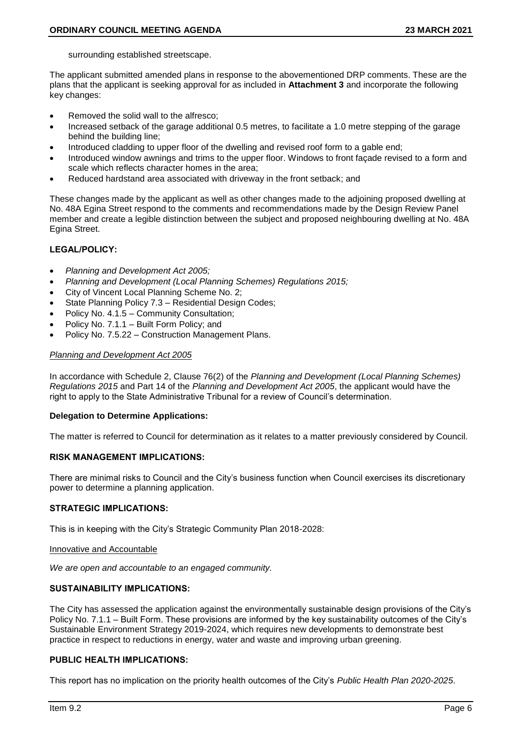surrounding established streetscape.

The applicant submitted amended plans in response to the abovementioned DRP comments. These are the plans that the applicant is seeking approval for as included in **Attachment 3** and incorporate the following key changes:

- Removed the solid wall to the alfresco;
- Increased setback of the garage additional 0.5 metres, to facilitate a 1.0 metre stepping of the garage behind the building line;
- Introduced cladding to upper floor of the dwelling and revised roof form to a gable end;
- Introduced window awnings and trims to the upper floor. Windows to front façade revised to a form and scale which reflects character homes in the area;
- Reduced hardstand area associated with driveway in the front setback; and

These changes made by the applicant as well as other changes made to the adjoining proposed dwelling at No. 48A Egina Street respond to the comments and recommendations made by the Design Review Panel member and create a legible distinction between the subject and proposed neighbouring dwelling at No. 48A Egina Street.

# **LEGAL/POLICY:**

- *Planning and Development Act 2005;*
- *Planning and Development (Local Planning Schemes) Regulations 2015;*
- City of Vincent Local Planning Scheme No. 2;
- State Planning Policy 7.3 Residential Design Codes;
- Policy No. 4.1.5 Community Consultation;
- Policy No. 7.1.1 Built Form Policy; and
- Policy No. 7.5.22 Construction Management Plans.

## *Planning and Development Act 2005*

In accordance with Schedule 2, Clause 76(2) of the *Planning and Development (Local Planning Schemes) Regulations 2015* and Part 14 of the *Planning and Development Act 2005*, the applicant would have the right to apply to the State Administrative Tribunal for a review of Council's determination.

## **Delegation to Determine Applications:**

The matter is referred to Council for determination as it relates to a matter previously considered by Council.

## **RISK MANAGEMENT IMPLICATIONS:**

There are minimal risks to Council and the City's business function when Council exercises its discretionary power to determine a planning application.

## **STRATEGIC IMPLICATIONS:**

This is in keeping with the City's Strategic Community Plan 2018-2028:

## Innovative and Accountable

*We are open and accountable to an engaged community.*

## **SUSTAINABILITY IMPLICATIONS:**

The City has assessed the application against the environmentally sustainable design provisions of the City's Policy No. 7.1.1 – Built Form. These provisions are informed by the key sustainability outcomes of the City's Sustainable Environment Strategy 2019-2024, which requires new developments to demonstrate best practice in respect to reductions in energy, water and waste and improving urban greening.

## **PUBLIC HEALTH IMPLICATIONS:**

This report has no implication on the priority health outcomes of the City's *Public Health Plan 2020-2025*.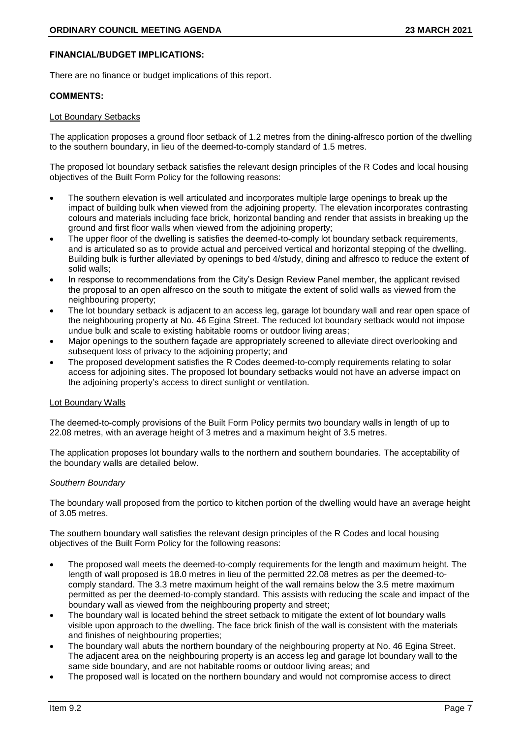# **FINANCIAL/BUDGET IMPLICATIONS:**

There are no finance or budget implications of this report.

## **COMMENTS:**

## Lot Boundary Setbacks

The application proposes a ground floor setback of 1.2 metres from the dining-alfresco portion of the dwelling to the southern boundary, in lieu of the deemed-to-comply standard of 1.5 metres.

The proposed lot boundary setback satisfies the relevant design principles of the R Codes and local housing objectives of the Built Form Policy for the following reasons:

- The southern elevation is well articulated and incorporates multiple large openings to break up the impact of building bulk when viewed from the adjoining property. The elevation incorporates contrasting colours and materials including face brick, horizontal banding and render that assists in breaking up the ground and first floor walls when viewed from the adjoining property;
- The upper floor of the dwelling is satisfies the deemed-to-comply lot boundary setback requirements, and is articulated so as to provide actual and perceived vertical and horizontal stepping of the dwelling. Building bulk is further alleviated by openings to bed 4/study, dining and alfresco to reduce the extent of solid walls;
- In response to recommendations from the City's Design Review Panel member, the applicant revised the proposal to an open alfresco on the south to mitigate the extent of solid walls as viewed from the neighbouring property;
- The lot boundary setback is adjacent to an access leg, garage lot boundary wall and rear open space of the neighbouring property at No. 46 Egina Street. The reduced lot boundary setback would not impose undue bulk and scale to existing habitable rooms or outdoor living areas;
- Major openings to the southern façade are appropriately screened to alleviate direct overlooking and subsequent loss of privacy to the adjoining property; and
- The proposed development satisfies the R Codes deemed-to-comply requirements relating to solar access for adjoining sites. The proposed lot boundary setbacks would not have an adverse impact on the adjoining property's access to direct sunlight or ventilation.

# Lot Boundary Walls

The deemed-to-comply provisions of the Built Form Policy permits two boundary walls in length of up to 22.08 metres, with an average height of 3 metres and a maximum height of 3.5 metres.

The application proposes lot boundary walls to the northern and southern boundaries. The acceptability of the boundary walls are detailed below.

## *Southern Boundary*

The boundary wall proposed from the portico to kitchen portion of the dwelling would have an average height of 3.05 metres.

The southern boundary wall satisfies the relevant design principles of the R Codes and local housing objectives of the Built Form Policy for the following reasons:

- The proposed wall meets the deemed-to-comply requirements for the length and maximum height. The length of wall proposed is 18.0 metres in lieu of the permitted 22.08 metres as per the deemed-tocomply standard. The 3.3 metre maximum height of the wall remains below the 3.5 metre maximum permitted as per the deemed-to-comply standard. This assists with reducing the scale and impact of the boundary wall as viewed from the neighbouring property and street;
- The boundary wall is located behind the street setback to mitigate the extent of lot boundary walls visible upon approach to the dwelling. The face brick finish of the wall is consistent with the materials and finishes of neighbouring properties;
- The boundary wall abuts the northern boundary of the neighbouring property at No. 46 Egina Street. The adjacent area on the neighbouring property is an access leg and garage lot boundary wall to the same side boundary, and are not habitable rooms or outdoor living areas; and
- The proposed wall is located on the northern boundary and would not compromise access to direct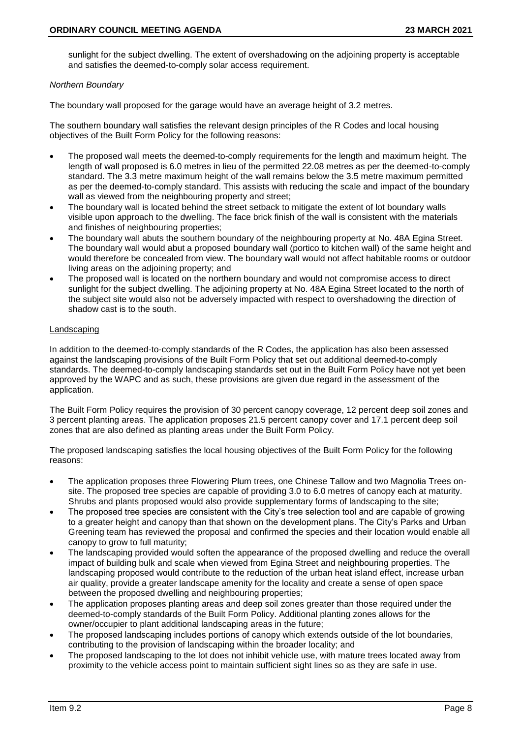sunlight for the subject dwelling. The extent of overshadowing on the adjoining property is acceptable and satisfies the deemed-to-comply solar access requirement.

## *Northern Boundary*

The boundary wall proposed for the garage would have an average height of 3.2 metres.

The southern boundary wall satisfies the relevant design principles of the R Codes and local housing objectives of the Built Form Policy for the following reasons:

- The proposed wall meets the deemed-to-comply requirements for the length and maximum height. The length of wall proposed is 6.0 metres in lieu of the permitted 22.08 metres as per the deemed-to-comply standard. The 3.3 metre maximum height of the wall remains below the 3.5 metre maximum permitted as per the deemed-to-comply standard. This assists with reducing the scale and impact of the boundary wall as viewed from the neighbouring property and street;
- The boundary wall is located behind the street setback to mitigate the extent of lot boundary walls visible upon approach to the dwelling. The face brick finish of the wall is consistent with the materials and finishes of neighbouring properties;
- The boundary wall abuts the southern boundary of the neighbouring property at No. 48A Egina Street. The boundary wall would abut a proposed boundary wall (portico to kitchen wall) of the same height and would therefore be concealed from view. The boundary wall would not affect habitable rooms or outdoor living areas on the adjoining property; and
- The proposed wall is located on the northern boundary and would not compromise access to direct sunlight for the subject dwelling. The adjoining property at No. 48A Egina Street located to the north of the subject site would also not be adversely impacted with respect to overshadowing the direction of shadow cast is to the south.

# Landscaping

In addition to the deemed-to-comply standards of the R Codes, the application has also been assessed against the landscaping provisions of the Built Form Policy that set out additional deemed-to-comply standards. The deemed-to-comply landscaping standards set out in the Built Form Policy have not yet been approved by the WAPC and as such, these provisions are given due regard in the assessment of the application.

The Built Form Policy requires the provision of 30 percent canopy coverage, 12 percent deep soil zones and 3 percent planting areas. The application proposes 21.5 percent canopy cover and 17.1 percent deep soil zones that are also defined as planting areas under the Built Form Policy.

The proposed landscaping satisfies the local housing objectives of the Built Form Policy for the following reasons:

- The application proposes three Flowering Plum trees, one Chinese Tallow and two Magnolia Trees onsite. The proposed tree species are capable of providing 3.0 to 6.0 metres of canopy each at maturity. Shrubs and plants proposed would also provide supplementary forms of landscaping to the site;
- The proposed tree species are consistent with the City's tree selection tool and are capable of growing to a greater height and canopy than that shown on the development plans. The City's Parks and Urban Greening team has reviewed the proposal and confirmed the species and their location would enable all canopy to grow to full maturity;
- The landscaping provided would soften the appearance of the proposed dwelling and reduce the overall impact of building bulk and scale when viewed from Egina Street and neighbouring properties. The landscaping proposed would contribute to the reduction of the urban heat island effect, increase urban air quality, provide a greater landscape amenity for the locality and create a sense of open space between the proposed dwelling and neighbouring properties;
- The application proposes planting areas and deep soil zones greater than those required under the deemed-to-comply standards of the Built Form Policy. Additional planting zones allows for the owner/occupier to plant additional landscaping areas in the future;
- The proposed landscaping includes portions of canopy which extends outside of the lot boundaries, contributing to the provision of landscaping within the broader locality; and
- The proposed landscaping to the lot does not inhibit vehicle use, with mature trees located away from proximity to the vehicle access point to maintain sufficient sight lines so as they are safe in use.